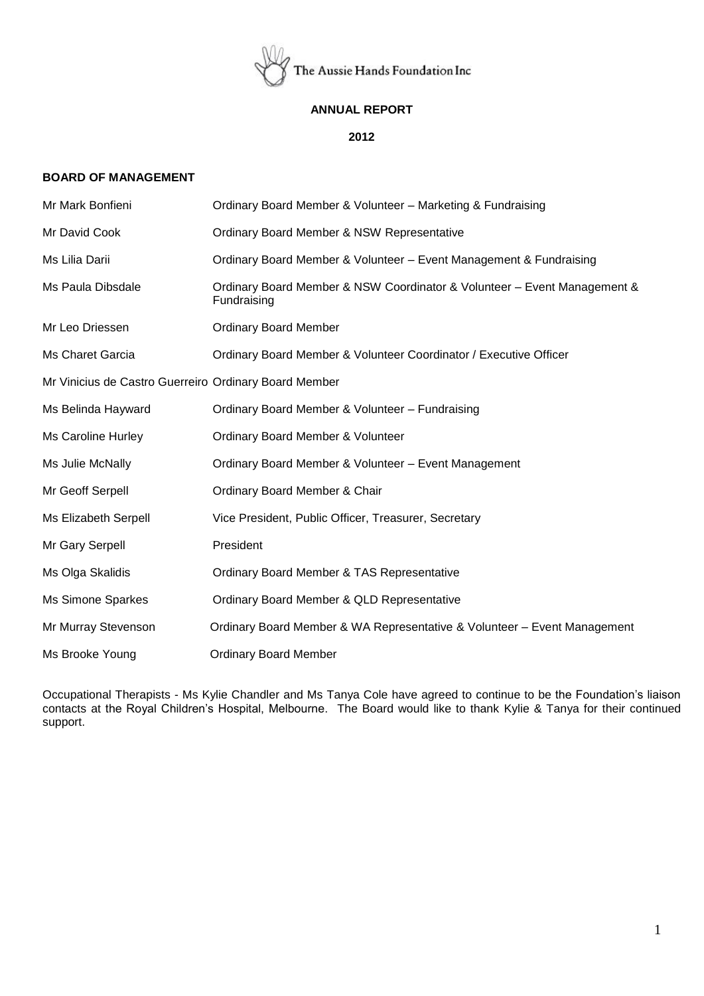

## **ANNUAL REPORT**

### **2012**

## **BOARD OF MANAGEMENT**

| Mr Mark Bonfieni                                      | Ordinary Board Member & Volunteer - Marketing & Fundraising                             |
|-------------------------------------------------------|-----------------------------------------------------------------------------------------|
| Mr David Cook                                         | Ordinary Board Member & NSW Representative                                              |
| Ms Lilia Darii                                        | Ordinary Board Member & Volunteer - Event Management & Fundraising                      |
| Ms Paula Dibsdale                                     | Ordinary Board Member & NSW Coordinator & Volunteer - Event Management &<br>Fundraising |
| Mr Leo Driessen                                       | <b>Ordinary Board Member</b>                                                            |
| Ms Charet Garcia                                      | Ordinary Board Member & Volunteer Coordinator / Executive Officer                       |
| Mr Vinicius de Castro Guerreiro Ordinary Board Member |                                                                                         |
| Ms Belinda Hayward                                    | Ordinary Board Member & Volunteer - Fundraising                                         |
| Ms Caroline Hurley                                    | Ordinary Board Member & Volunteer                                                       |
| Ms Julie McNally                                      | Ordinary Board Member & Volunteer - Event Management                                    |
| Mr Geoff Serpell                                      | Ordinary Board Member & Chair                                                           |
| Ms Elizabeth Serpell                                  | Vice President, Public Officer, Treasurer, Secretary                                    |
| Mr Gary Serpell                                       | President                                                                               |
| Ms Olga Skalidis                                      | Ordinary Board Member & TAS Representative                                              |
| Ms Simone Sparkes                                     | Ordinary Board Member & QLD Representative                                              |
| Mr Murray Stevenson                                   | Ordinary Board Member & WA Representative & Volunteer - Event Management                |
| Ms Brooke Young                                       | <b>Ordinary Board Member</b>                                                            |

Occupational Therapists - Ms Kylie Chandler and Ms Tanya Cole have agreed to continue to be the Foundation's liaison contacts at the Royal Children's Hospital, Melbourne. The Board would like to thank Kylie & Tanya for their continued support.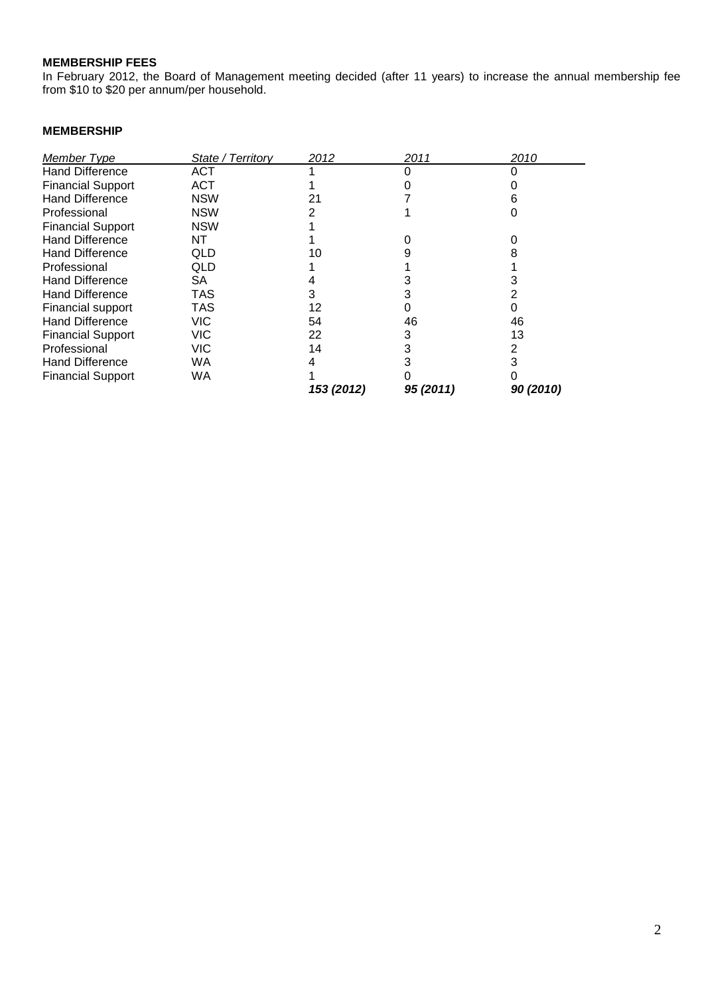# **MEMBERSHIP FEES**

In February 2012, the Board of Management meeting decided (after 11 years) to increase the annual membership fee from \$10 to \$20 per annum/per household.

## **MEMBERSHIP**

| Member Type              | State / Territory | 2012       | 2011      | 2010      |
|--------------------------|-------------------|------------|-----------|-----------|
| <b>Hand Difference</b>   | <b>ACT</b>        |            |           |           |
| <b>Financial Support</b> | <b>ACT</b>        |            |           |           |
| <b>Hand Difference</b>   | <b>NSW</b>        | 21         |           |           |
| Professional             | <b>NSW</b>        |            |           |           |
| <b>Financial Support</b> | <b>NSW</b>        |            |           |           |
| <b>Hand Difference</b>   | NT                |            |           |           |
| <b>Hand Difference</b>   | QLD               | 10         |           |           |
| Professional             | QLD               |            |           |           |
| <b>Hand Difference</b>   | SA.               |            |           |           |
| <b>Hand Difference</b>   | TAS               | з          |           |           |
| <b>Financial support</b> | TAS               | 12         |           |           |
| <b>Hand Difference</b>   | VIC               | 54         | 46        | 46        |
| <b>Financial Support</b> | VIC               | 22         | 3         | 13        |
| Professional             | VIC               | 14         |           |           |
| <b>Hand Difference</b>   | WA                |            |           |           |
| <b>Financial Support</b> | WA                |            |           |           |
|                          |                   | 153 (2012) | 95 (2011) | 90 (2010) |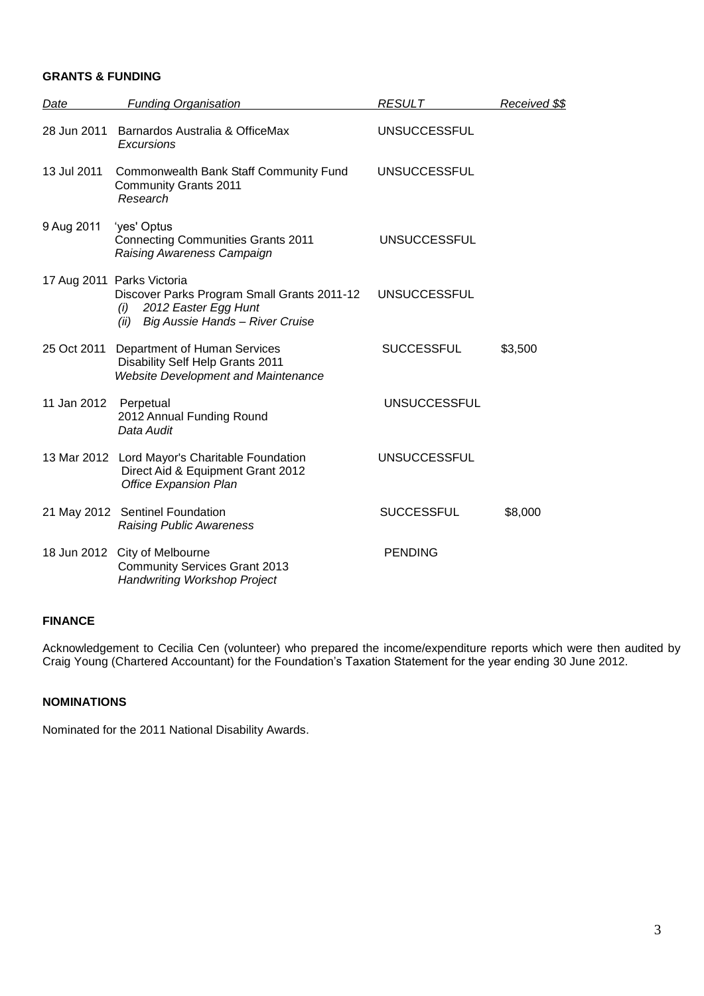### **GRANTS & FUNDING**

| Date        | <b>Funding Organisation</b>                                                                                                                         | <b>RESULT</b>       | Received \$\$ |
|-------------|-----------------------------------------------------------------------------------------------------------------------------------------------------|---------------------|---------------|
| 28 Jun 2011 | Barnardos Australia & OfficeMax<br><b>Excursions</b>                                                                                                | <b>UNSUCCESSFUL</b> |               |
| 13 Jul 2011 | Commonwealth Bank Staff Community Fund<br><b>Community Grants 2011</b><br>Research                                                                  | <b>UNSUCCESSFUL</b> |               |
| 9 Aug 2011  | 'yes' Optus<br><b>Connecting Communities Grants 2011</b><br>Raising Awareness Campaign                                                              | <b>UNSUCCESSFUL</b> |               |
|             | 17 Aug 2011 Parks Victoria<br>Discover Parks Program Small Grants 2011-12<br>2012 Easter Egg Hunt<br>(i)<br>Big Aussie Hands - River Cruise<br>(ii) | <b>UNSUCCESSFUL</b> |               |
| 25 Oct 2011 | Department of Human Services<br>Disability Self Help Grants 2011<br><b>Website Development and Maintenance</b>                                      | <b>SUCCESSFUL</b>   | \$3,500       |
| 11 Jan 2012 | Perpetual<br>2012 Annual Funding Round<br>Data Audit                                                                                                | <b>UNSUCCESSFUL</b> |               |
|             | 13 Mar 2012 Lord Mayor's Charitable Foundation<br>Direct Aid & Equipment Grant 2012<br><b>Office Expansion Plan</b>                                 | <b>UNSUCCESSFUL</b> |               |
|             | 21 May 2012 Sentinel Foundation<br><b>Raising Public Awareness</b>                                                                                  | <b>SUCCESSFUL</b>   | \$8,000       |
|             | 18 Jun 2012 City of Melbourne<br><b>Community Services Grant 2013</b><br><b>Handwriting Workshop Project</b>                                        | <b>PENDING</b>      |               |

## **FINANCE**

Acknowledgement to Cecilia Cen (volunteer) who prepared the income/expenditure reports which were then audited by Craig Young (Chartered Accountant) for the Foundation's Taxation Statement for the year ending 30 June 2012.

## **NOMINATIONS**

Nominated for the 2011 National Disability Awards.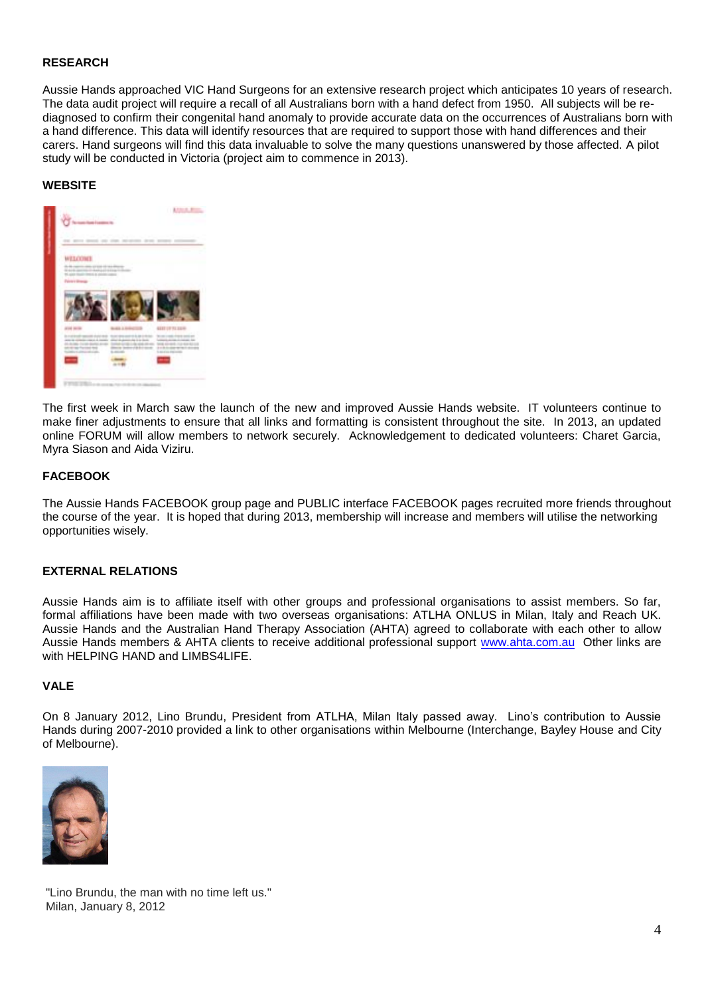## **RESEARCH**

Aussie Hands approached VIC Hand Surgeons for an extensive research project which anticipates 10 years of research. The data audit project will require a recall of all Australians born with a hand defect from 1950. All subjects will be rediagnosed to confirm their congenital hand anomaly to provide accurate data on the occurrences of Australians born with a hand difference. This data will identify resources that are required to support those with hand differences and their carers. Hand surgeons will find this data invaluable to solve the many questions unanswered by those affected. A pilot study will be conducted in Victoria (project aim to commence in 2013).

### **WEBSITE**



The first week in March saw the launch of the new and improved Aussie Hands website. IT volunteers continue to make finer adjustments to ensure that all links and formatting is consistent throughout the site. In 2013, an updated online FORUM will allow members to network securely. Acknowledgement to dedicated volunteers: Charet Garcia, Myra Siason and Aida Viziru.

## **FACEBOOK**

The Aussie Hands FACEBOOK group page and PUBLIC interface FACEBOOK pages recruited more friends throughout the course of the year. It is hoped that during 2013, membership will increase and members will utilise the networking opportunities wisely.

#### **EXTERNAL RELATIONS**

Aussie Hands aim is to affiliate itself with other groups and professional organisations to assist members. So far, formal affiliations have been made with two overseas organisations: ATLHA ONLUS in Milan, Italy and Reach UK. Aussie Hands and the Australian Hand Therapy Association (AHTA) agreed to collaborate with each other to allow Aussie Hands members & AHTA clients to receive additional professional support [www.ahta.com.au](http://www.ahta.com.au/) Other links are with HFI PING HAND and LIMBS4LIFF

### **VALE**

On 8 January 2012, Lino Brundu, President from ATLHA, Milan Italy passed away. Lino's contribution to Aussie Hands during 2007-2010 provided a link to other organisations within Melbourne (Interchange, Bayley House and City of Melbourne).



"Lino Brundu, the man with no time left us." Milan, January 8, 2012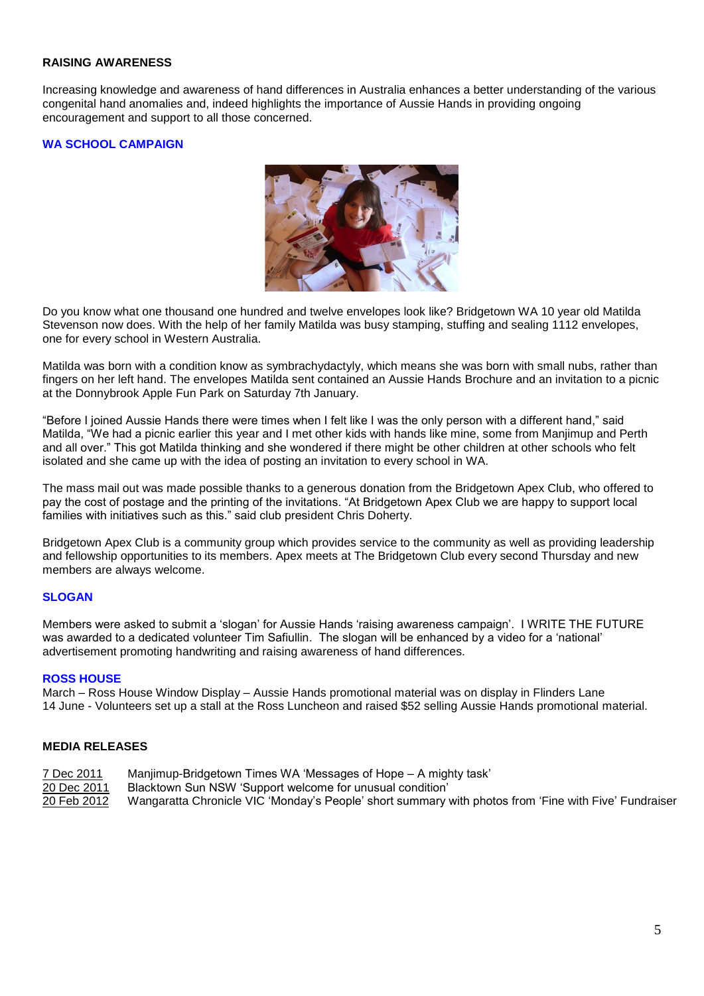## **RAISING AWARENESS**

Increasing knowledge and awareness of hand differences in Australia enhances a better understanding of the various congenital hand anomalies and, indeed highlights the importance of Aussie Hands in providing ongoing encouragement and support to all those concerned.

## **WA SCHOOL CAMPAIGN**



Do you know what one thousand one hundred and twelve envelopes look like? Bridgetown WA 10 year old Matilda Stevenson now does. With the help of her family Matilda was busy stamping, stuffing and sealing 1112 envelopes, one for every school in Western Australia.

Matilda was born with a condition know as symbrachydactyly, which means she was born with small nubs, rather than fingers on her left hand. The envelopes Matilda sent contained an Aussie Hands Brochure and an invitation to a picnic at the Donnybrook Apple Fun Park on Saturday 7th January.

"Before I joined Aussie Hands there were times when I felt like I was the only person with a different hand," said Matilda, "We had a picnic earlier this year and I met other kids with hands like mine, some from Manjimup and Perth and all over." This got Matilda thinking and she wondered if there might be other children at other schools who felt isolated and she came up with the idea of posting an invitation to every school in WA.

The mass mail out was made possible thanks to a generous donation from the Bridgetown Apex Club, who offered to pay the cost of postage and the printing of the invitations. "At Bridgetown Apex Club we are happy to support local families with initiatives such as this." said club president Chris Doherty.

Bridgetown Apex Club is a community group which provides service to the community as well as providing leadership and fellowship opportunities to its members. Apex meets at The Bridgetown Club every second Thursday and new members are always welcome.

## **SLOGAN**

Members were asked to submit a 'slogan' for Aussie Hands 'raising awareness campaign'. I WRITE THE FUTURE was awarded to a dedicated volunteer Tim Safiullin. The slogan will be enhanced by a video for a 'national' advertisement promoting handwriting and raising awareness of hand differences.

#### **ROSS HOUSE**

March – Ross House Window Display – Aussie Hands promotional material was on display in Flinders Lane 14 June - Volunteers set up a stall at the Ross Luncheon and raised \$52 selling Aussie Hands promotional material.

#### **MEDIA RELEASES**

- 7 Dec 2011 Manjimup-Bridgetown Times WA 'Messages of Hope A mighty task'
- 20 Dec 2011 Blacktown Sun NSW 'Support welcome for unusual condition'
- 20 Feb 2012 Wangaratta Chronicle VIC 'Monday's People' short summary with photos from 'Fine with Five' Fundraiser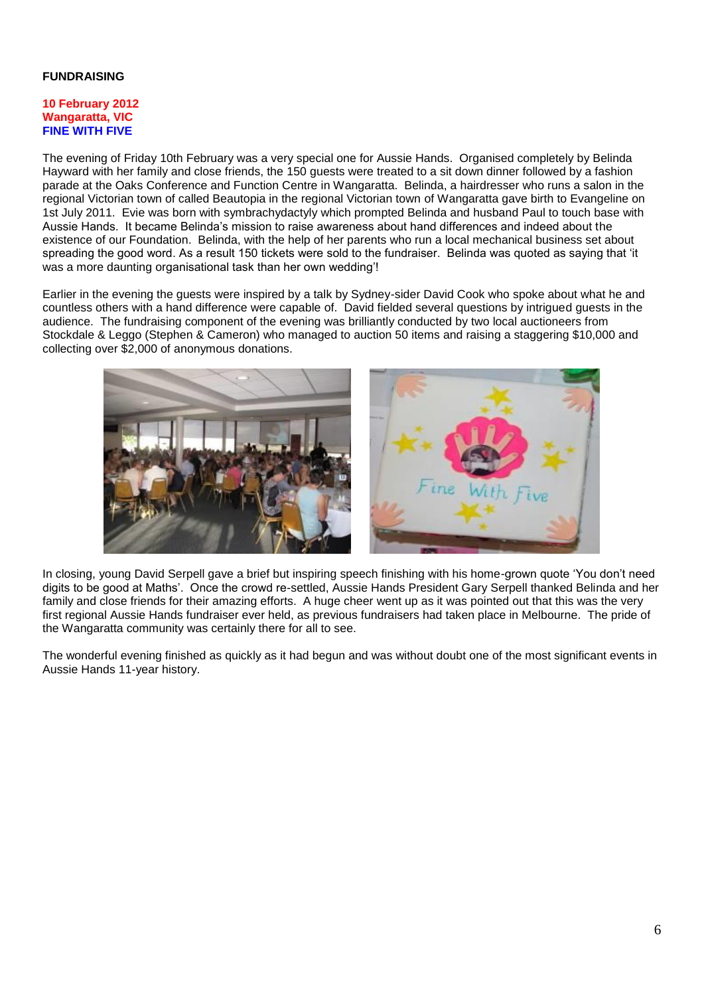## **FUNDRAISING**

#### **10 February 2012 Wangaratta, VIC FINE WITH FIVE**

The evening of Friday 10th February was a very special one for Aussie Hands. Organised completely by Belinda Hayward with her family and close friends, the 150 guests were treated to a sit down dinner followed by a fashion parade at the Oaks Conference and Function Centre in Wangaratta. Belinda, a hairdresser who runs a salon in the regional Victorian town of called Beautopia in the regional Victorian town of Wangaratta gave birth to Evangeline on 1st July 2011. Evie was born with symbrachydactyly which prompted Belinda and husband Paul to touch base with Aussie Hands. It became Belinda's mission to raise awareness about hand differences and indeed about the existence of our Foundation. Belinda, with the help of her parents who run a local mechanical business set about spreading the good word. As a result 150 tickets were sold to the fundraiser. Belinda was quoted as saying that 'it was a more daunting organisational task than her own wedding'!

Earlier in the evening the guests were inspired by a talk by Sydney-sider David Cook who spoke about what he and countless others with a hand difference were capable of. David fielded several questions by intrigued guests in the audience. The fundraising component of the evening was brilliantly conducted by two local auctioneers from Stockdale & Leggo (Stephen & Cameron) who managed to auction 50 items and raising a staggering \$10,000 and collecting over \$2,000 of anonymous donations.



In closing, young David Serpell gave a brief but inspiring speech finishing with his home-grown quote 'You don't need digits to be good at Maths'. Once the crowd re-settled, Aussie Hands President Gary Serpell thanked Belinda and her family and close friends for their amazing efforts. A huge cheer went up as it was pointed out that this was the very first regional Aussie Hands fundraiser ever held, as previous fundraisers had taken place in Melbourne. The pride of the Wangaratta community was certainly there for all to see.

The wonderful evening finished as quickly as it had begun and was without doubt one of the most significant events in Aussie Hands 11-year history.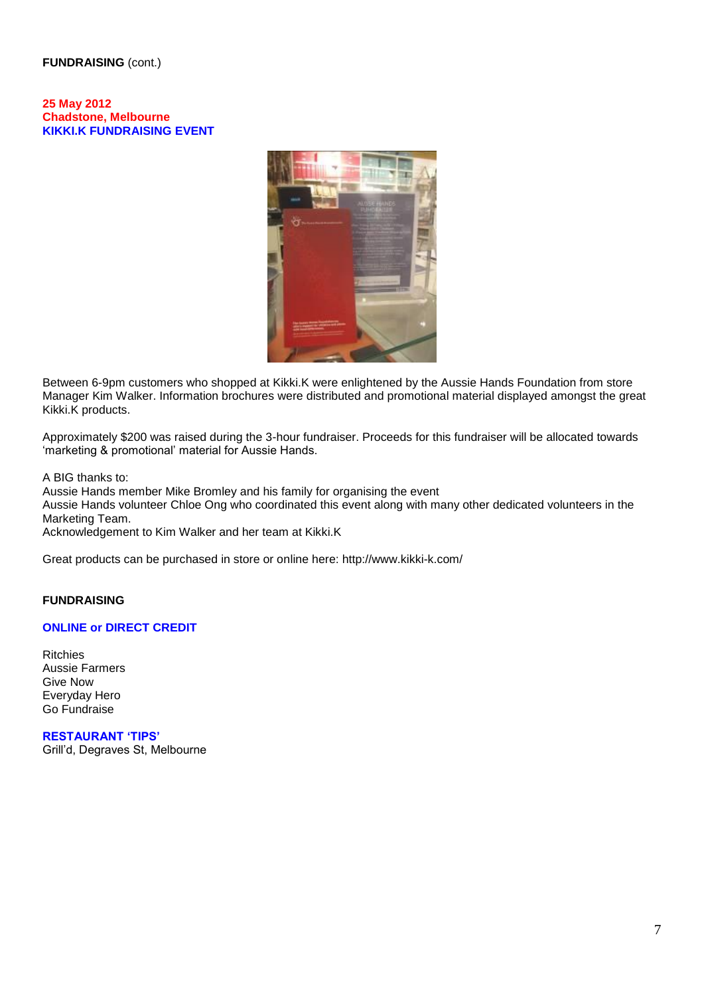### **FUNDRAISING** (cont.)

**25 May 2012 Chadstone, Melbourne KIKKI.K FUNDRAISING EVENT**



Between 6-9pm customers who shopped at Kikki.K were enlightened by the Aussie Hands Foundation from store Manager Kim Walker. Information brochures were distributed and promotional material displayed amongst the great Kikki.K products.

Approximately \$200 was raised during the 3-hour fundraiser. Proceeds for this fundraiser will be allocated towards 'marketing & promotional' material for Aussie Hands.

A BIG thanks to:

Aussie Hands member Mike Bromley and his family for organising the event

Aussie Hands volunteer Chloe Ong who coordinated this event along with many other dedicated volunteers in the Marketing Team.

Acknowledgement to Kim Walker and her team at Kikki.K

Great products can be purchased in store or online here:<http://www.kikki-k.com/>

## **FUNDRAISING**

#### **ONLINE or DIRECT CREDIT**

Ritchies Aussie Farmers Give Now Everyday Hero Go Fundraise

**RESTAURANT 'TIPS'** Grill'd, Degraves St, Melbourne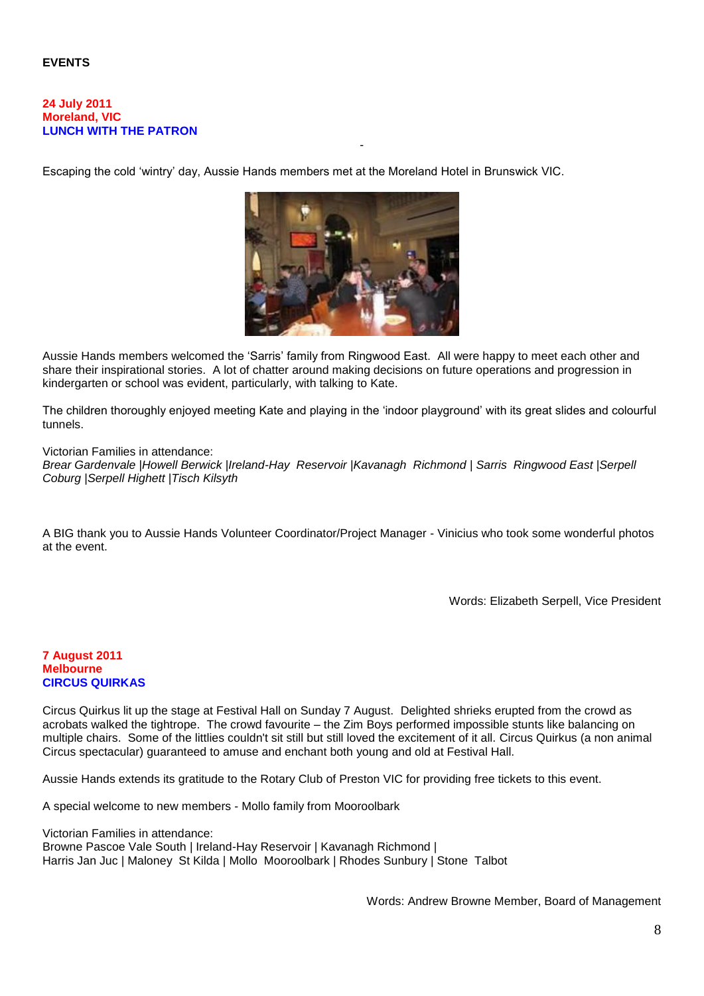## **EVENTS**

#### **24 July 2011 Moreland, VIC LUNCH WITH THE PATRON**

Escaping the cold 'wintry' day, Aussie Hands members met at the Moreland Hotel in Brunswick VIC.



-

Aussie Hands members welcomed the 'Sarris' family from Ringwood East. All were happy to meet each other and share their inspirational stories. A lot of chatter around making decisions on future operations and progression in kindergarten or school was evident, particularly, with talking to Kate.

The children thoroughly enjoyed meeting Kate and playing in the 'indoor playground' with its great slides and colourful tunnels.

Victorian Families in attendance:

*Brear Gardenvale |Howell Berwick |Ireland-Hay Reservoir |Kavanagh Richmond | Sarris Ringwood East |Serpell Coburg |Serpell Highett |Tisch Kilsyth*

A BIG thank you to Aussie Hands Volunteer Coordinator/Project Manager - Vinicius who took some wonderful photos at the event.

Words: Elizabeth Serpell, Vice President

### **7 August 2011 Melbourne CIRCUS QUIRKAS**

Circus Quirkus lit up the stage at Festival Hall on Sunday 7 August. Delighted shrieks erupted from the crowd as acrobats walked the tightrope. The crowd favourite – the Zim Boys performed impossible stunts like balancing on multiple chairs. Some of the littlies couldn't sit still but still loved the excitement of it all. Circus Quirkus (a non animal Circus spectacular) guaranteed to amuse and enchant both young and old at Festival Hall.

Aussie Hands extends its gratitude to the Rotary Club of Preston VIC for providing free tickets to this event.

A special welcome to new members - Mollo family from Mooroolbark

Victorian Families in attendance: Browne Pascoe Vale South | Ireland-Hay Reservoir | Kavanagh Richmond | Harris Jan Juc | Maloney St Kilda | Mollo Mooroolbark | Rhodes Sunbury | Stone Talbot

Words: Andrew Browne Member, Board of Management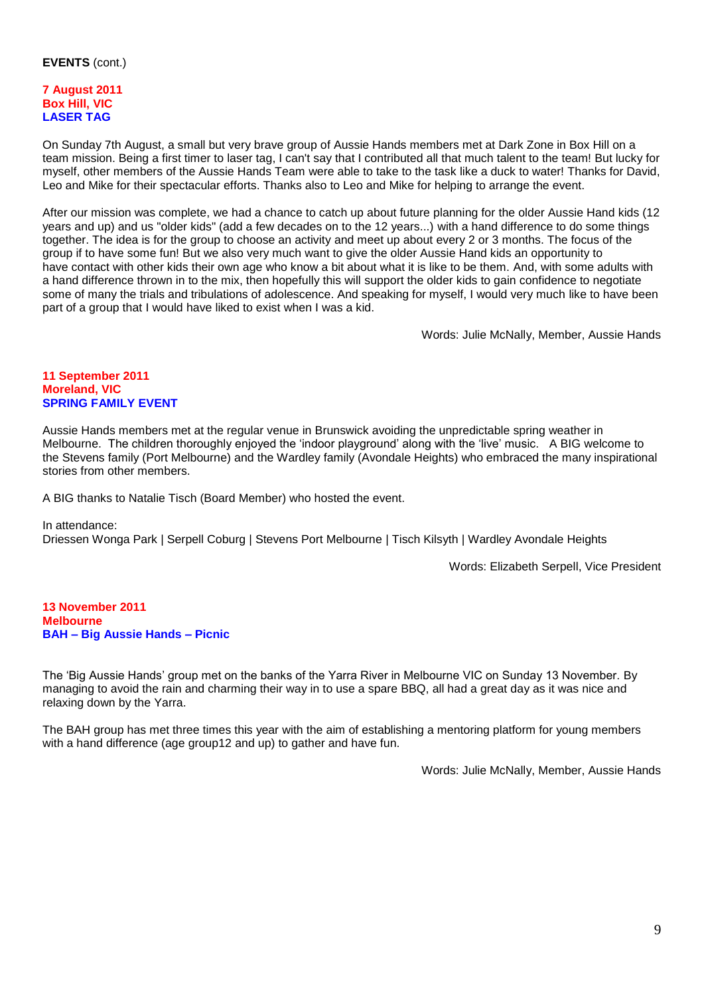## **EVENTS** (cont.)

## **7 August 2011 Box Hill, VIC LASER TAG**

On Sunday 7th August, a small but very brave group of Aussie Hands members met at Dark Zone in Box Hill on a team mission. Being a first timer to laser tag, I can't say that I contributed all that much talent to the team! But lucky for myself, other members of the Aussie Hands Team were able to take to the task like a duck to water! Thanks for David, Leo and Mike for their spectacular efforts. Thanks also to Leo and Mike for helping to arrange the event.

After our mission was complete, we had a chance to catch up about future planning for the older Aussie Hand kids (12 years and up) and us "older kids" (add a few decades on to the 12 years...) with a hand difference to do some things together. The idea is for the group to choose an activity and meet up about every 2 or 3 months. The focus of the group if to have some fun! But we also very much want to give the older Aussie Hand kids an opportunity to have contact with other kids their own age who know a bit about what it is like to be them. And, with some adults with a hand difference thrown in to the mix, then hopefully this will support the older kids to gain confidence to negotiate some of many the trials and tribulations of adolescence. And speaking for myself, I would very much like to have been part of a group that I would have liked to exist when I was a kid.

Words: Julie McNally, Member, Aussie Hands

### **11 September 2011 Moreland, VIC SPRING FAMILY EVENT**

Aussie Hands members met at the regular venue in Brunswick avoiding the unpredictable spring weather in Melbourne. The children thoroughly enjoyed the 'indoor playground' along with the 'live' music. A BIG welcome to the Stevens family (Port Melbourne) and the Wardley family (Avondale Heights) who embraced the many inspirational stories from other members.

A BIG thanks to Natalie Tisch (Board Member) who hosted the event.

#### In attendance:

Driessen Wonga Park | Serpell Coburg | Stevens Port Melbourne | Tisch Kilsyth | Wardley Avondale Heights

Words: Elizabeth Serpell, Vice President

**13 November 2011 Melbourne BAH – Big Aussie Hands – Picnic**

The 'Big Aussie Hands' group met on the banks of the Yarra River in Melbourne VIC on Sunday 13 November. By managing to avoid the rain and charming their way in to use a spare BBQ, all had a great day as it was nice and relaxing down by the Yarra.

The BAH group has met three times this year with the aim of establishing a mentoring platform for young members with a hand difference (age group12 and up) to gather and have fun.

Words: Julie McNally, Member, Aussie Hands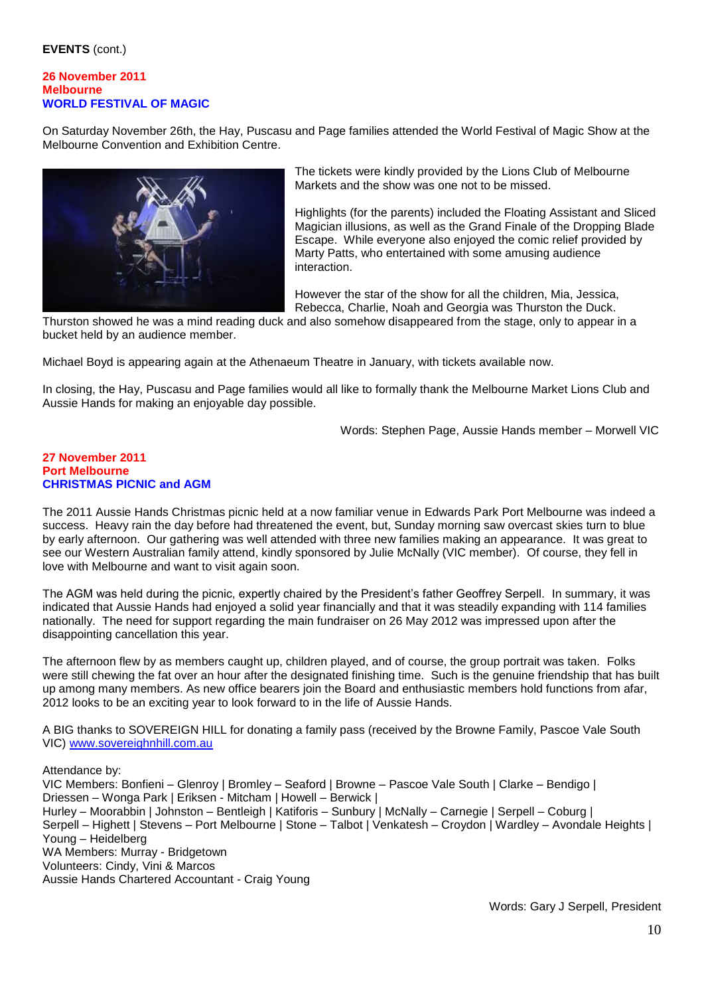## **EVENTS** (cont.)

#### **26 November 2011 Melbourne WORLD FESTIVAL OF MAGIC**

On Saturday November 26th, the Hay, Puscasu and Page families attended the World Festival of Magic Show at the Melbourne Convention and Exhibition Centre.



The tickets were kindly provided by the Lions Club of Melbourne Markets and the show was one not to be missed.

Highlights (for the parents) included the Floating Assistant and Sliced Magician illusions, as well as the Grand Finale of the Dropping Blade Escape. While everyone also enjoyed the comic relief provided by Marty Patts, who entertained with some amusing audience interaction.

However the star of the show for all the children, Mia, Jessica, Rebecca, Charlie, Noah and Georgia was Thurston the Duck.

Thurston showed he was a mind reading duck and also somehow disappeared from the stage, only to appear in a bucket held by an audience member.

Michael Boyd is appearing again at the Athenaeum Theatre in January, with tickets available now.

In closing, the Hay, Puscasu and Page families would all like to formally thank the Melbourne Market Lions Club and Aussie Hands for making an enjoyable day possible.

Words: Stephen Page, Aussie Hands member – Morwell VIC

#### **27 November 2011 Port Melbourne CHRISTMAS PICNIC and AGM**

The 2011 Aussie Hands Christmas picnic held at a now familiar venue in Edwards Park Port Melbourne was indeed a success. Heavy rain the day before had threatened the event, but, Sunday morning saw overcast skies turn to blue by early afternoon. Our gathering was well attended with three new families making an appearance. It was great to see our Western Australian family attend, kindly sponsored by Julie McNally (VIC member). Of course, they fell in love with Melbourne and want to visit again soon.

The AGM was held during the picnic, expertly chaired by the President's father Geoffrey Serpell. In summary, it was indicated that Aussie Hands had enjoyed a solid year financially and that it was steadily expanding with 114 families nationally. The need for support regarding the main fundraiser on 26 May 2012 was impressed upon after the disappointing cancellation this year.

The afternoon flew by as members caught up, children played, and of course, the group portrait was taken. Folks were still chewing the fat over an hour after the designated finishing time. Such is the genuine friendship that has built up among many members. As new office bearers join the Board and enthusiastic members hold functions from afar, 2012 looks to be an exciting year to look forward to in the life of Aussie Hands.

A BIG thanks to SOVEREIGN HILL for donating a family pass (received by the Browne Family, Pascoe Vale South VIC) [www.sovereighnhill.com.au](http://www.sovereighnhill.com.au/)

Attendance by: VIC Members: Bonfieni – Glenroy | Bromley – Seaford | Browne – Pascoe Vale South | Clarke – Bendigo | Driessen – Wonga Park | Eriksen - Mitcham | Howell – Berwick | Hurley – Moorabbin | Johnston – Bentleigh | Katiforis – Sunbury | McNally – Carnegie | Serpell – Coburg | Serpell – Highett | Stevens – Port Melbourne | Stone – Talbot | Venkatesh – Croydon | Wardley – Avondale Heights | Young – Heidelberg WA Members: Murray - Bridgetown Volunteers: Cindy, Vini & Marcos Aussie Hands Chartered Accountant - Craig Young

Words: Gary J Serpell, President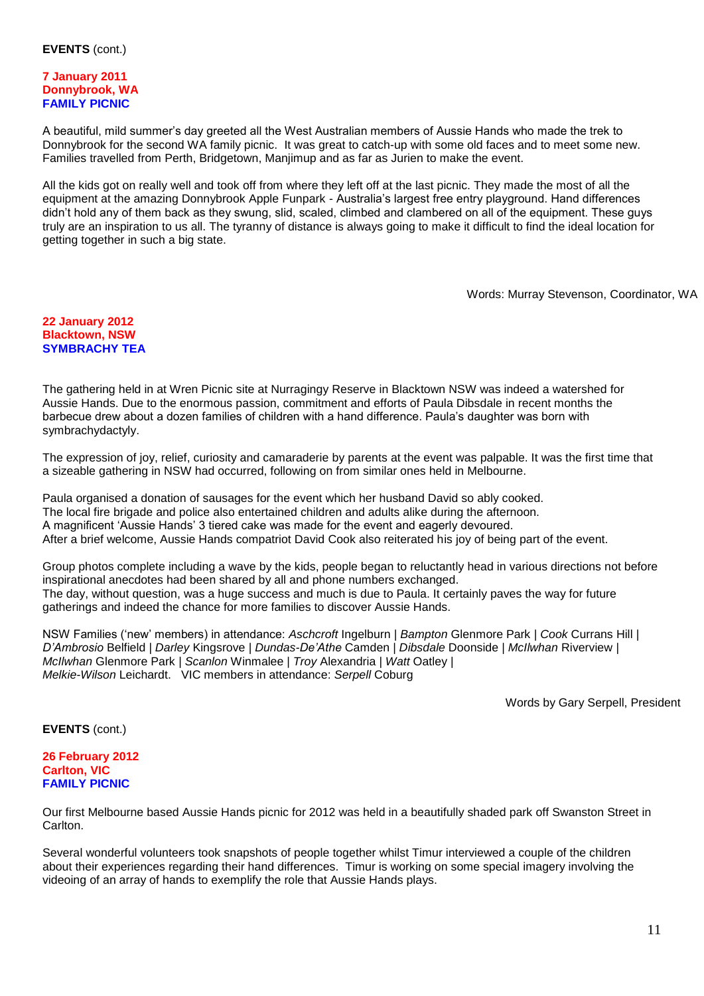#### **7 January 2011 Donnybrook, WA FAMILY PICNIC**

A beautiful, mild summer's day greeted all the West Australian members of Aussie Hands who made the trek to Donnybrook for the second WA family picnic. It was great to catch-up with some old faces and to meet some new. Families travelled from Perth, Bridgetown, Manjimup and as far as Jurien to make the event.

All the kids got on really well and took off from where they left off at the last picnic. They made the most of all the equipment at the amazing Donnybrook Apple Funpark - Australia's largest free entry playground. Hand differences didn't hold any of them back as they swung, slid, scaled, climbed and clambered on all of the equipment. These guys truly are an inspiration to us all. The tyranny of distance is always going to make it difficult to find the ideal location for getting together in such a big state.

Words: Murray Stevenson, Coordinator, WA

#### **22 January 2012 Blacktown, NSW SYMBRACHY TEA**

The gathering held in at Wren Picnic site at Nurragingy Reserve in Blacktown NSW was indeed a watershed for Aussie Hands. Due to the enormous passion, commitment and efforts of Paula Dibsdale in recent months the barbecue drew about a dozen families of children with a hand difference. Paula's daughter was born with symbrachydactyly.

The expression of joy, relief, curiosity and camaraderie by parents at the event was palpable. It was the first time that a sizeable gathering in NSW had occurred, following on from similar ones held in Melbourne.

Paula organised a donation of sausages for the event which her husband David so ably cooked. The local fire brigade and police also entertained children and adults alike during the afternoon. A magnificent 'Aussie Hands' 3 tiered cake was made for the event and eagerly devoured. After a brief welcome, Aussie Hands compatriot David Cook also reiterated his joy of being part of the event.

Group photos complete including a wave by the kids, people began to reluctantly head in various directions not before inspirational anecdotes had been shared by all and phone numbers exchanged. The day, without question, was a huge success and much is due to Paula. It certainly paves the way for future gatherings and indeed the chance for more families to discover Aussie Hands.

NSW Families ('new' members) in attendance: *Aschcroft* Ingelburn *| Bampton* Glenmore Park *| Cook* Currans Hill *| D'Ambrosio* Belfield *| Darley* Kingsrove *| Dundas-De'Athe* Camden *| Dibsdale* Doonside *| McIlwhan* Riverview *| McIlwhan* Glenmore Park *| Scanlon* Winmalee | *Troy* Alexandria *| Watt* Oatley *| Melkie-Wilson* Leichardt. VIC members in attendance: *Serpell* Coburg

Words by Gary Serpell, President

**EVENTS** (cont.)

### **26 February 2012 Carlton, VIC FAMILY PICNIC**

Our first Melbourne based Aussie Hands picnic for 2012 was held in a beautifully shaded park off Swanston Street in Carlton.

Several wonderful volunteers took snapshots of people together whilst Timur interviewed a couple of the children about their experiences regarding their hand differences. Timur is working on some special imagery involving the videoing of an array of hands to exemplify the role that Aussie Hands plays.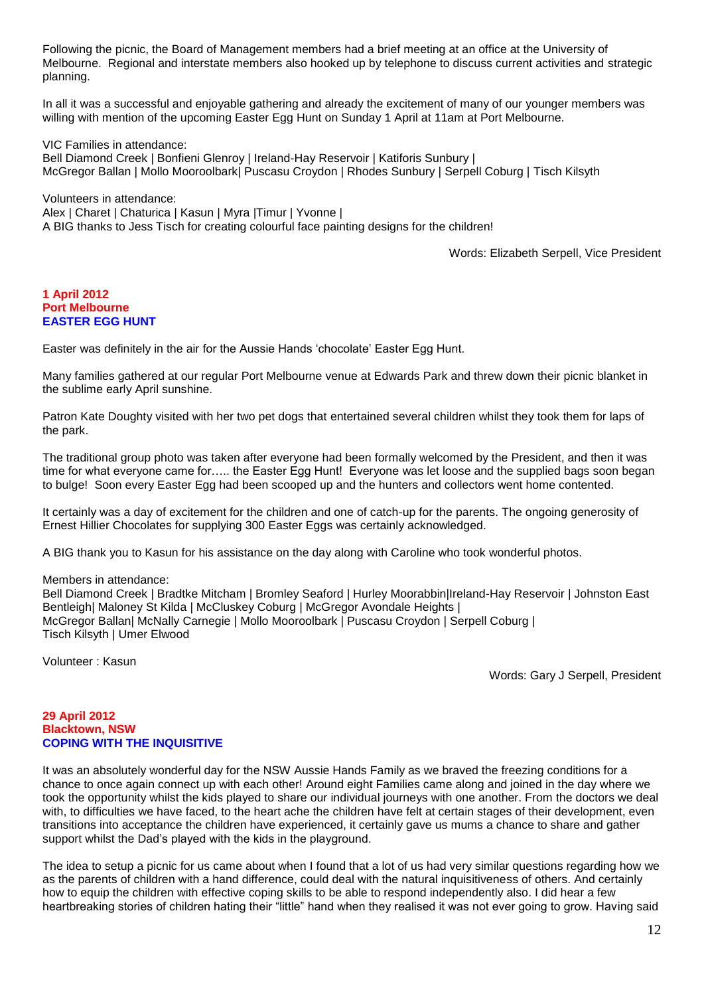Following the picnic, the Board of Management members had a brief meeting at an office at the University of Melbourne. Regional and interstate members also hooked up by telephone to discuss current activities and strategic planning.

In all it was a successful and enjoyable gathering and already the excitement of many of our younger members was willing with mention of the upcoming Easter Egg Hunt on Sunday 1 April at 11am at Port Melbourne.

VIC Families in attendance: Bell Diamond Creek | Bonfieni Glenroy | Ireland-Hay Reservoir | Katiforis Sunbury | McGregor Ballan | Mollo Mooroolbark| Puscasu Croydon | Rhodes Sunbury | Serpell Coburg | Tisch Kilsyth

Volunteers in attendance: Alex | Charet | Chaturica | Kasun | Myra |Timur | Yvonne | A BIG thanks to Jess Tisch for creating colourful face painting designs for the children!

Words: Elizabeth Serpell, Vice President

#### **1 April 2012 Port Melbourne EASTER EGG HUNT**

Easter was definitely in the air for the Aussie Hands 'chocolate' Easter Egg Hunt.

Many families gathered at our regular Port Melbourne venue at Edwards Park and threw down their picnic blanket in the sublime early April sunshine.

Patron Kate Doughty visited with her two pet dogs that entertained several children whilst they took them for laps of the park.

The traditional group photo was taken after everyone had been formally welcomed by the President, and then it was time for what everyone came for….. the Easter Egg Hunt! Everyone was let loose and the supplied bags soon began to bulge! Soon every Easter Egg had been scooped up and the hunters and collectors went home contented.

It certainly was a day of excitement for the children and one of catch-up for the parents. The ongoing generosity of Ernest Hillier Chocolates for supplying 300 Easter Eggs was certainly acknowledged.

A BIG thank you to Kasun for his assistance on the day along with Caroline who took wonderful photos.

#### Members in attendance:

Bell Diamond Creek | Bradtke Mitcham | Bromley Seaford | Hurley Moorabbin|Ireland-Hay Reservoir | Johnston East Bentleigh| Maloney St Kilda | McCluskey Coburg | McGregor Avondale Heights | McGregor Ballan| McNally Carnegie | Mollo Mooroolbark | Puscasu Croydon | Serpell Coburg | Tisch Kilsyth | Umer Elwood

Volunteer : Kasun

Words: Gary J Serpell, President

### **29 April 2012 Blacktown, NSW COPING WITH THE INQUISITIVE**

It was an absolutely wonderful day for the NSW Aussie Hands Family as we braved the freezing conditions for a chance to once again connect up with each other! Around eight Families came along and joined in the day where we took the opportunity whilst the kids played to share our individual journeys with one another. From the doctors we deal with, to difficulties we have faced, to the heart ache the children have felt at certain stages of their development, even transitions into acceptance the children have experienced, it certainly gave us mums a chance to share and gather support whilst the Dad's played with the kids in the playground.

The idea to setup a picnic for us came about when I found that a lot of us had very similar questions regarding how we as the parents of children with a hand difference, could deal with the natural inquisitiveness of others. And certainly how to equip the children with effective coping skills to be able to respond independently also. I did hear a few heartbreaking stories of children hating their "little" hand when they realised it was not ever going to grow. Having said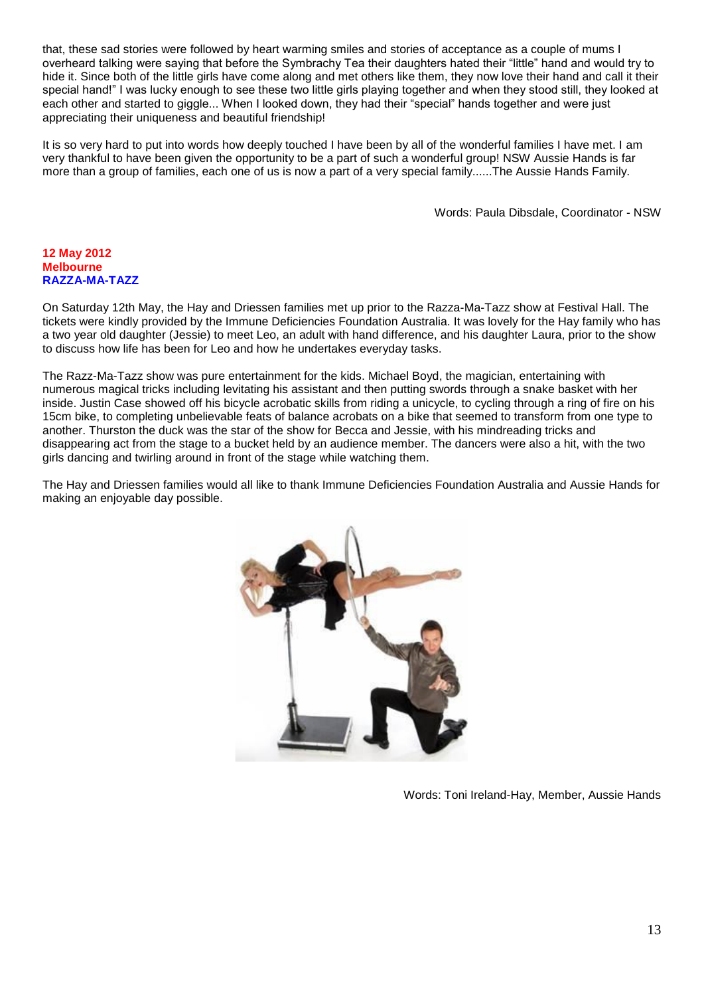that, these sad stories were followed by heart warming smiles and stories of acceptance as a couple of mums I overheard talking were saying that before the Symbrachy Tea their daughters hated their "little" hand and would try to hide it. Since both of the little girls have come along and met others like them, they now love their hand and call it their special hand!" I was lucky enough to see these two little girls playing together and when they stood still, they looked at each other and started to giggle... When I looked down, they had their "special" hands together and were just appreciating their uniqueness and beautiful friendship!

It is so very hard to put into words how deeply touched I have been by all of the wonderful families I have met. I am very thankful to have been given the opportunity to be a part of such a wonderful group! NSW Aussie Hands is far more than a group of families, each one of us is now a part of a very special family......The Aussie Hands Family.

Words: Paula Dibsdale, Coordinator - NSW

### **12 May 2012 Melbourne RAZZA-MA-TAZZ**

On Saturday 12th May, the Hay and Driessen families met up prior to the Razza-Ma-Tazz show at Festival Hall. The tickets were kindly provided by the Immune Deficiencies Foundation Australia. It was lovely for the Hay family who has a two year old daughter (Jessie) to meet Leo, an adult with hand difference, and his daughter Laura, prior to the show to discuss how life has been for Leo and how he undertakes everyday tasks.

The Razz-Ma-Tazz show was pure entertainment for the kids. Michael Boyd, the magician, entertaining with numerous magical tricks including levitating his assistant and then putting swords through a snake basket with her inside. Justin Case showed off his bicycle acrobatic skills from riding a unicycle, to cycling through a ring of fire on his 15cm bike, to completing unbelievable feats of balance acrobats on a bike that seemed to transform from one type to another. Thurston the duck was the star of the show for Becca and Jessie, with his mindreading tricks and disappearing act from the stage to a bucket held by an audience member. The dancers were also a hit, with the two girls dancing and twirling around in front of the stage while watching them.

The Hay and Driessen families would all like to thank Immune Deficiencies Foundation Australia and Aussie Hands for making an enjoyable day possible.



Words: Toni Ireland-Hay, Member, Aussie Hands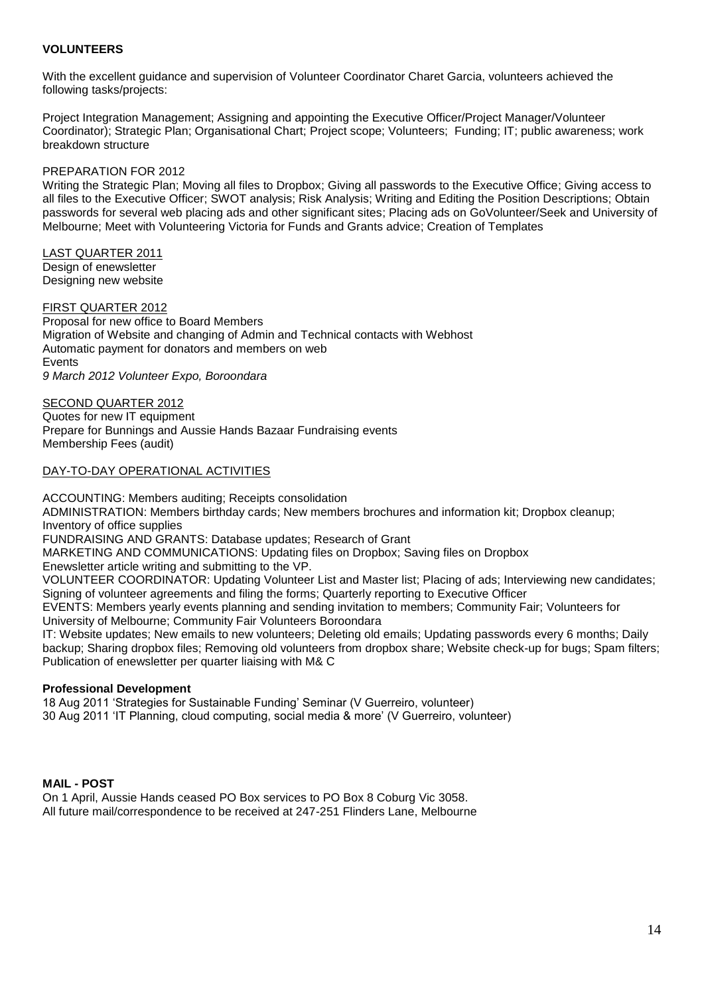## **VOLUNTEERS**

With the excellent guidance and supervision of Volunteer Coordinator Charet Garcia, volunteers achieved the following tasks/projects:

Project Integration Management; Assigning and appointing the Executive Officer/Project Manager/Volunteer Coordinator); Strategic Plan; Organisational Chart; Project scope; Volunteers; Funding; IT; public awareness; work breakdown structure

## PREPARATION FOR 2012

Writing the Strategic Plan; Moving all files to Dropbox; Giving all passwords to the Executive Office; Giving access to all files to the Executive Officer; SWOT analysis; Risk Analysis; Writing and Editing the Position Descriptions; Obtain passwords for several web placing ads and other significant sites; Placing ads on GoVolunteer/Seek and University of Melbourne; Meet with Volunteering Victoria for Funds and Grants advice; Creation of Templates

LAST QUARTER 2011 Design of enewsletter Designing new website

#### FIRST QUARTER 2012

Proposal for new office to Board Members Migration of Website and changing of Admin and Technical contacts with Webhost Automatic payment for donators and members on web Events *9 March 2012 Volunteer Expo, Boroondara*

SECOND QUARTER 2012 Quotes for new IT equipment Prepare for Bunnings and Aussie Hands Bazaar Fundraising events Membership Fees (audit)

#### DAY-TO-DAY OPERATIONAL ACTIVITIES

ACCOUNTING: Members auditing; Receipts consolidation ADMINISTRATION: Members birthday cards; New members brochures and information kit; Dropbox cleanup; Inventory of office supplies FUNDRAISING AND GRANTS: Database updates; Research of Grant MARKETING AND COMMUNICATIONS: Updating files on Dropbox; Saving files on Dropbox Enewsletter article writing and submitting to the VP. VOLUNTEER COORDINATOR: Updating Volunteer List and Master list; Placing of ads; Interviewing new candidates; Signing of volunteer agreements and filing the forms; Quarterly reporting to Executive Officer EVENTS: Members yearly events planning and sending invitation to members; Community Fair; Volunteers for University of Melbourne; Community Fair Volunteers Boroondara IT: Website updates; New emails to new volunteers; Deleting old emails; Updating passwords every 6 months; Daily backup; Sharing dropbox files; Removing old volunteers from dropbox share; Website check-up for bugs; Spam filters; Publication of enewsletter per quarter liaising with M& C

## **Professional Development**

18 Aug 2011 'Strategies for Sustainable Funding' Seminar (V Guerreiro, volunteer) 30 Aug 2011 'IT Planning, cloud computing, social media & more' (V Guerreiro, volunteer)

## **MAIL - POST**

On 1 April, Aussie Hands ceased PO Box services to PO Box 8 Coburg Vic 3058. All future mail/correspondence to be received at 247-251 Flinders Lane, Melbourne